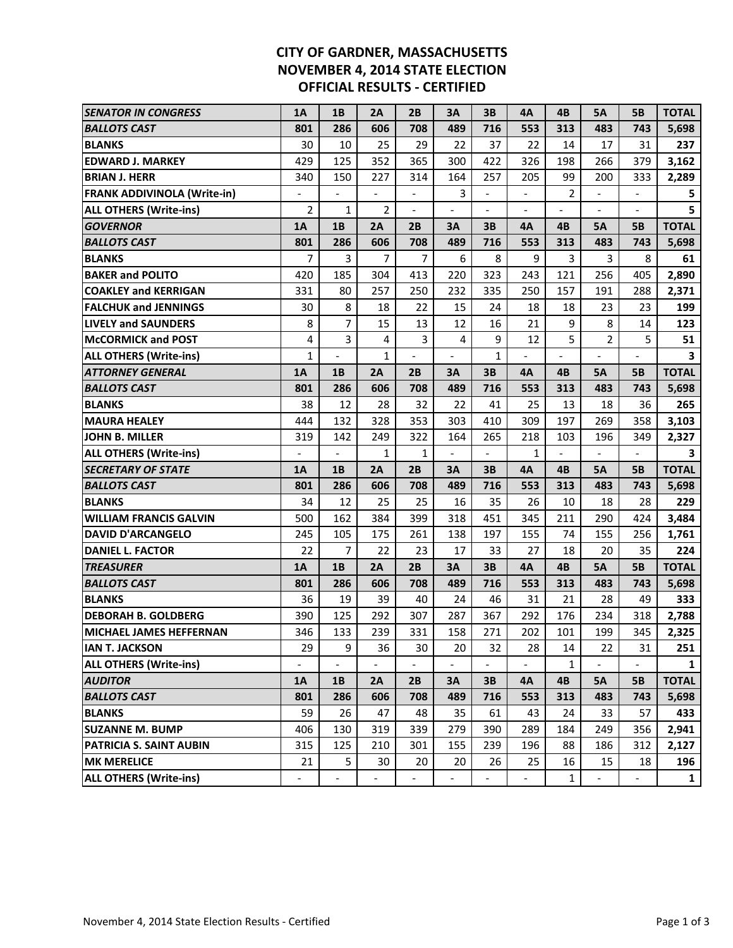## **CITY OF GARDNER, MASSACHUSETTS NOVEMBER 4, 2014 STATE ELECTION OFFICIAL RESULTS - CERTIFIED**

| <b>SENATOR IN CONGRESS</b>         | 1A             | 1B             | 2A             | 2B             | 3A  | 3B                       | 4A  | 4B             | 5А             | <b>5B</b>                | <b>TOTAL</b> |
|------------------------------------|----------------|----------------|----------------|----------------|-----|--------------------------|-----|----------------|----------------|--------------------------|--------------|
| <b>BALLOTS CAST</b>                | 801            | 286            | 606            | 708            | 489 | 716                      | 553 | 313            | 483            | 743                      | 5,698        |
| <b>BLANKS</b>                      | 30             | 10             | 25             | 29             | 22  | 37                       | 22  | 14             | 17             | 31                       | 237          |
| <b>EDWARD J. MARKEY</b>            | 429            | 125            | 352            | 365            | 300 | 422                      | 326 | 198            | 266            | 379                      | 3,162        |
| <b>BRIAN J. HERR</b>               | 340            | 150            | 227            | 314            | 164 | 257                      | 205 | 99             | 200            | 333                      | 2,289        |
| <b>FRANK ADDIVINOLA (Write-in)</b> | $\frac{1}{2}$  | $\frac{1}{2}$  | $\frac{1}{2}$  | $\frac{1}{2}$  | 3   |                          |     | $\overline{2}$ |                |                          | 5            |
| <b>ALL OTHERS (Write-ins)</b>      | $\overline{2}$ | 1              | $\overline{2}$ |                |     |                          |     |                |                | $\overline{\phantom{a}}$ | 5            |
| <b>GOVERNOR</b>                    | 1A             | 1B             | 2A             | 2B             | ЗA  | 3B                       | 4A  | 4B             | <b>5A</b>      | <b>5B</b>                | <b>TOTAL</b> |
| <b>BALLOTS CAST</b>                | 801            | 286            | 606            | 708            | 489 | 716                      | 553 | 313            | 483            | 743                      | 5,698        |
| <b>BLANKS</b>                      | $\overline{7}$ | 3              | 7              | 7              | 6   | 8                        | 9   | 3              | 3              | 8                        | 61           |
| <b>BAKER and POLITO</b>            | 420            | 185            | 304            | 413            | 220 | 323                      | 243 | 121            | 256            | 405                      | 2,890        |
| <b>COAKLEY and KERRIGAN</b>        | 331            | 80             | 257            | 250            | 232 | 335                      | 250 | 157            | 191            | 288                      | 2,371        |
| <b>FALCHUK and JENNINGS</b>        | 30             | 8              | 18             | 22             | 15  | 24                       | 18  | 18             | 23             | 23                       | 199          |
| <b>LIVELY and SAUNDERS</b>         | 8              | 7              | 15             | 13             | 12  | 16                       | 21  | 9              | 8              | 14                       | 123          |
| <b>McCORMICK and POST</b>          | 4              | 3              | 4              | 3              | 4   | 9                        | 12  | 5              | $\overline{2}$ | 5                        | 51           |
| <b>ALL OTHERS (Write-ins)</b>      | 1              |                | $\mathbf{1}$   | $\overline{a}$ |     | $\mathbf{1}$             |     |                | $\frac{1}{2}$  |                          | 3            |
| <b>ATTORNEY GENERAL</b>            | 1A             | 1B             | 2A             | 2B             | ЗA  | 3B                       | 4A  | 4B             | 5А             | <b>5B</b>                | <b>TOTAL</b> |
| <b>BALLOTS CAST</b>                | 801            | 286            | 606            | 708            | 489 | 716                      | 553 | 313            | 483            | 743                      | 5,698        |
| <b>BLANKS</b>                      | 38             | 12             | 28             | 32             | 22  | 41                       | 25  | 13             | 18             | 36                       | 265          |
| <b>MAURA HEALEY</b>                | 444            | 132            | 328            | 353            | 303 | 410                      | 309 | 197            | 269            | 358                      | 3,103        |
| <b>JOHN B. MILLER</b>              | 319            | 142            | 249            | 322            | 164 | 265                      | 218 | 103            | 196            | 349                      | 2,327        |
| <b>ALL OTHERS (Write-ins)</b>      |                |                | $\mathbf{1}$   | $\mathbf 1$    |     |                          | 1   |                |                |                          | 3            |
| <b>SECRETARY OF STATE</b>          | 1A             | 1B             | 2A             | 2B             | 3A  | 3B                       | 4A  | 4B             | <b>5A</b>      | <b>5B</b>                | <b>TOTAL</b> |
| <b>BALLOTS CAST</b>                | 801            | 286            | 606            | 708            | 489 | 716                      | 553 | 313            | 483            | 743                      | 5,698        |
| <b>BLANKS</b>                      | 34             | 12             | 25             | 25             | 16  | 35                       | 26  | 10             | 18             | 28                       | 229          |
| <b>WILLIAM FRANCIS GALVIN</b>      | 500            | 162            | 384            | 399            | 318 | 451                      | 345 | 211            | 290            | 424                      | 3,484        |
| <b>DAVID D'ARCANGELO</b>           | 245            | 105            | 175            | 261            | 138 | 197                      | 155 | 74             | 155            | 256                      | 1,761        |
| <b>DANIEL L. FACTOR</b>            | 22             | $\overline{7}$ | 22             | 23             | 17  | 33                       | 27  | 18             | 20             | 35                       | 224          |
| <b>TREASURER</b>                   | 1A             | 1B             | 2A             | 2B             | 3A  | 3B                       | 4A  | 4B             | <b>5A</b>      | <b>5B</b>                | <b>TOTAL</b> |
| <b>BALLOTS CAST</b>                | 801            | 286            | 606            | 708            | 489 | 716                      | 553 | 313            | 483            | 743                      | 5,698        |
| <b>BLANKS</b>                      | 36             | 19             | 39             | 40             | 24  | 46                       | 31  | 21             | 28             | 49                       | 333          |
| <b>DEBORAH B. GOLDBERG</b>         | 390            | 125            | 292            | 307            | 287 | 367                      | 292 | 176            | 234            | 318                      | 2,788        |
| <b>MICHAEL JAMES HEFFERNAN</b>     | 346            | 133            | 239            | 331            | 158 | 271                      | 202 | 101            | 199            | 345                      | 2,325        |
| <b>IAN T. JACKSON</b>              | 29             | 9              | 36             | 30             | 20  | 32                       | 28  | 14             | 22             | 31                       | 251          |
| <b>ALL OTHERS (Write-ins)</b>      |                |                | $\overline{a}$ |                |     | $\overline{\phantom{0}}$ |     | 1              |                |                          | $\mathbf{1}$ |
| <b>AUDITOR</b>                     | 1A             | 1B             | 2A             | 2B             | 3A  | 3B                       | 4A  | 4B             | <b>5A</b>      | <b>5B</b>                | <b>TOTAL</b> |
| <b>BALLOTS CAST</b>                | 801            | 286            | 606            | 708            | 489 | 716                      | 553 | 313            | 483            | 743                      | 5,698        |
| <b>BLANKS</b>                      |                |                |                |                |     |                          |     | 24             |                |                          | 433          |
|                                    | 59             | 26             | 47             | 48             | 35  | 61                       | 43  |                | 33             | 57                       |              |
| <b>SUZANNE M. BUMP</b>             | 406            | 130            | 319            | 339            | 279 | 390                      | 289 | 184            | 249            | 356                      | 2,941        |
| PATRICIA S. SAINT AUBIN            | 315            | 125            | 210            | 301            | 155 | 239                      | 196 | 88             | 186            | 312                      | 2,127        |
| <b>MK MERELICE</b>                 | 21             | 5              | 30             | 20             | 20  | 26                       | 25  | 16             | 15             | 18                       | 196          |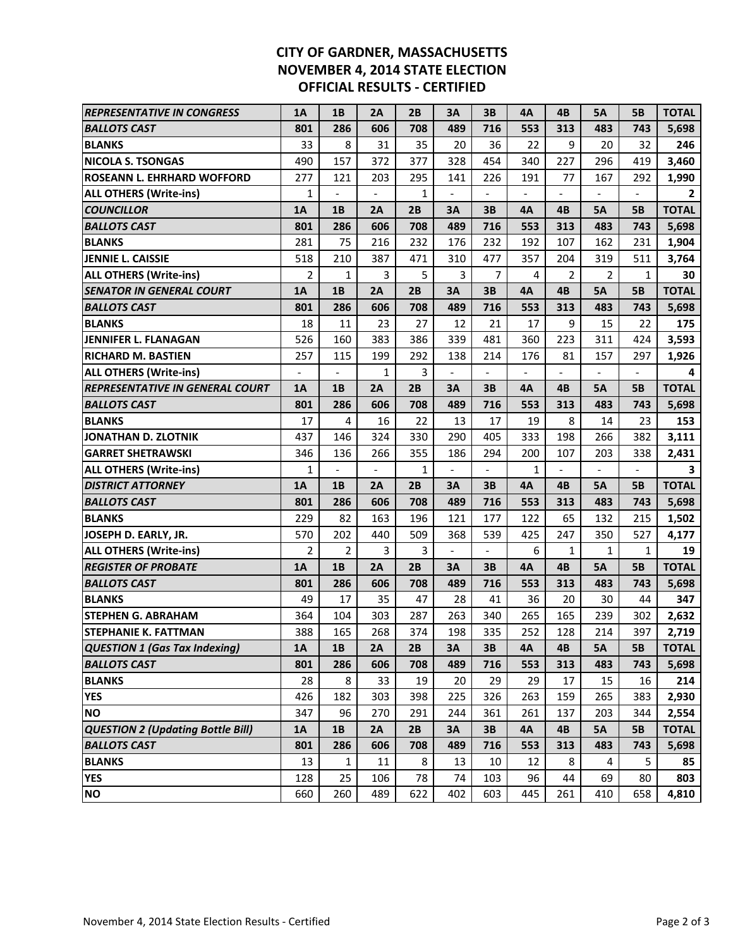## **CITY OF GARDNER, MASSACHUSETTS NOVEMBER 4, 2014 STATE ELECTION OFFICIAL RESULTS - CERTIFIED**

| <b>REPRESENTATIVE IN CONGRESS</b>        | <b>1A</b>                | 1B             | 2A            | 2B           | 3A             | 3B                       | 4A  | 4B  | 5А        | <b>5B</b>    | <b>TOTAL</b>   |
|------------------------------------------|--------------------------|----------------|---------------|--------------|----------------|--------------------------|-----|-----|-----------|--------------|----------------|
| <b>BALLOTS CAST</b>                      | 801                      | 286            | 606           | 708          | 489            | 716                      | 553 | 313 | 483       | 743          | 5,698          |
| <b>BLANKS</b>                            | 33                       | 8              | 31            | 35           | 20             | 36                       | 22  | 9   | 20        | 32           | 246            |
| <b>NICOLA S. TSONGAS</b>                 | 490                      | 157            | 372           | 377          | 328            | 454                      | 340 | 227 | 296       | 419          | 3,460          |
| <b>ROSEANN L. EHRHARD WOFFORD</b>        | 277                      | 121            | 203           | 295          | 141            | 226                      | 191 | 77  | 167       | 292          | 1,990          |
| <b>ALL OTHERS (Write-ins)</b>            | $\mathbf{1}$             |                | $\frac{1}{2}$ | 1            |                |                          |     |     |           |              | $\overline{2}$ |
| <b>COUNCILLOR</b>                        | <b>1A</b>                | 1B             | 2A            | 2B           | 3A             | 3B                       | 4A  | 4B  | <b>5A</b> | <b>5B</b>    | <b>TOTAL</b>   |
| <b>BALLOTS CAST</b>                      | 801                      | 286            | 606           | 708          | 489            | 716                      | 553 | 313 | 483       | 743          | 5,698          |
| <b>BLANKS</b>                            | 281                      | 75             | 216           | 232          | 176            | 232                      | 192 | 107 | 162       | 231          | 1,904          |
| JENNIE L. CAISSIE                        | 518                      | 210            | 387           | 471          | 310            | 477                      | 357 | 204 | 319       | 511          | 3,764          |
| <b>ALL OTHERS (Write-ins)</b>            | $\overline{2}$           | 1              | 3             | 5            | 3              | 7                        | 4   | 2   | 2         | $\mathbf{1}$ | 30             |
| <b>SENATOR IN GENERAL COURT</b>          | <b>1A</b>                | 1B             | 2A            | 2B           | 3A             | 3B                       | 4A  | 4B  | <b>5A</b> | <b>5B</b>    | <b>TOTAL</b>   |
| BALLOTS CAST                             | 801                      | 286            | 606           | 708          | 489            | 716                      | 553 | 313 | 483       | 743          | 5,698          |
| <b>BLANKS</b>                            | 18                       | 11             | 23            | 27           | 12             | 21                       | 17  | 9   | 15        | 22           | 175            |
| <b>JENNIFER L. FLANAGAN</b>              | 526                      | 160            | 383           | 386          | 339            | 481                      | 360 | 223 | 311       | 424          | 3,593          |
| <b>RICHARD M. BASTIEN</b>                | 257                      | 115            | 199           | 292          | 138            | 214                      | 176 | 81  | 157       | 297          | 1,926          |
| <b>ALL OTHERS (Write-ins)</b>            | $\overline{\phantom{a}}$ |                | $\mathbf{1}$  | 3            |                |                          |     |     |           |              | 4              |
| <b>REPRESENTATIVE IN GENERAL COURT</b>   | <b>1A</b>                | 1B             | 2A            | 2B           | 3A             | 3B                       | 4A  | 4B  | 5А        | <b>5B</b>    | <b>TOTAL</b>   |
| <b>BALLOTS CAST</b>                      | 801                      | 286            | 606           | 708          | 489            | 716                      | 553 | 313 | 483       | 743          | 5,698          |
| <b>BLANKS</b>                            | 17                       | 4              | 16            | 22           | 13             | 17                       | 19  | 8   | 14        | 23           | 153            |
| JONATHAN D. ZLOTNIK                      | 437                      | 146            | 324           | 330          | 290            | 405                      | 333 | 198 | 266       | 382          | 3,111          |
| <b>GARRET SHETRAWSKI</b>                 | 346                      | 136            | 266           | 355          | 186            | 294                      | 200 | 107 | 203       | 338          | 2,431          |
| <b>ALL OTHERS (Write-ins)</b>            | 1                        |                |               | $\mathbf{1}$ |                |                          | 1   |     |           |              | 3              |
| <b>DISTRICT ATTORNEY</b>                 | 1A                       | 1B             | 2A            | 2B           | 3A             | 3B                       | 4A  | 4B  | 5А        | <b>5B</b>    | <b>TOTAL</b>   |
| <b>BALLOTS CAST</b>                      | 801                      | 286            | 606           | 708          | 489            | 716                      | 553 | 313 | 483       | 743          | 5,698          |
| <b>BLANKS</b>                            | 229                      | 82             | 163           | 196          | 121            | 177                      | 122 | 65  | 132       | 215          | 1,502          |
| JOSEPH D. EARLY, JR.                     | 570                      | 202            | 440           | 509          | 368            | 539                      | 425 | 247 | 350       | 527          | 4,177          |
| <b>ALL OTHERS (Write-ins)</b>            | $\overline{2}$           | $\overline{2}$ | 3             | 3            | $\overline{a}$ | $\overline{\phantom{a}}$ | 6   | 1   | 1         | $\mathbf{1}$ | 19             |
| <b>REGISTER OF PROBATE</b>               | 1A                       | 1B             | 2A            | 2B           | 3A             | 3B                       | 4A  | 4B  | <b>5A</b> | <b>5B</b>    | <b>TOTAL</b>   |
| <b>BALLOTS CAST</b>                      | 801                      | 286            | 606           | 708          | 489            | 716                      | 553 | 313 | 483       | 743          | 5,698          |
| <b>BLANKS</b>                            | 49                       | 17             | 35            | 47           | 28             | 41                       | 36  | 20  | 30        | 44           | 347            |
| <b>STEPHEN G. ABRAHAM</b>                | 364                      | 104            | 303           | 287          | 263            | 340                      | 265 | 165 | 239       | 302          | 2,632          |
| <b>STEPHANIE K. FATTMAN</b>              | 388                      | 165            | 268           | 374          | 198            | 335                      | 252 | 128 | 214       | 397          | 2,719          |
| <b>QUESTION 1 (Gas Tax Indexing)</b>     | 1A                       | 1B             | 2A            | 2B           | 3A             | 3B                       | 4Α  | 4B  | 5А        | <b>5B</b>    | <b>TOTAL</b>   |
| <b>BALLOTS CAST</b>                      | 801                      | 286            | 606           | 708          | 489            | 716                      | 553 | 313 | 483       | 743          | 5,698          |
| <b>BLANKS</b>                            | 28                       | 8              | 33            | 19           | 20             | 29                       | 29  | 17  | 15        | 16           | 214            |
| <b>YES</b>                               | 426                      | 182            | 303           | 398          | 225            | 326                      | 263 | 159 | 265       | 383          | 2,930          |
| <b>NO</b>                                | 347                      | 96             | 270           | 291          | 244            | 361                      | 261 | 137 | 203       | 344          | 2,554          |
| <b>QUESTION 2 (Updating Bottle Bill)</b> | <b>1A</b>                | <b>1B</b>      | 2A            | 2B           | 3A             | 3B                       | 4A  | 4B  | <b>5A</b> | <b>5B</b>    | <b>TOTAL</b>   |
| <b>BALLOTS CAST</b>                      | 801                      | 286            | 606           | 708          | 489            | 716                      | 553 | 313 | 483       | 743          | 5,698          |
| <b>BLANKS</b>                            | 13                       | 1              | 11            | 8            | 13             | 10                       | 12  | 8   | 4         | 5            | 85             |
| <b>YES</b>                               | 128                      | 25             | 106           | 78           | 74             | 103                      | 96  | 44  | 69        | 80           | 803            |
| <b>NO</b>                                | 660                      | 260            | 489           | 622          | 402            | 603                      | 445 | 261 | 410       | 658          | 4,810          |